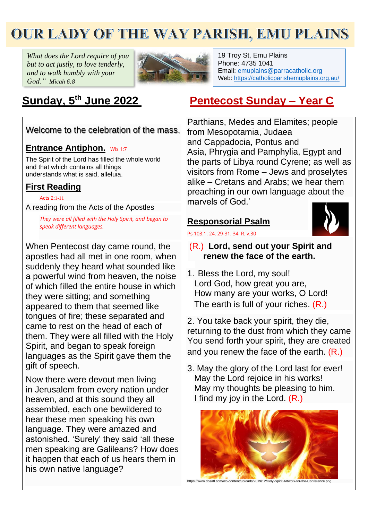# **OUR LADY OF THE WAY PARISH, EMU PLAINS**

*What does the Lord require of you but to act justly, to love tenderly, and to walk humbly with your God." Micah 6:8*



19 Troy St, Emu Plains Phone: 4735 1041 Email: [emuplains@parracatholic.org](mailto:emuplains@parracatholic.org) Web:<https://catholicparishemuplains.org.au/>

## Sunday, 5<sup>th</sup> June 2022

## **th June 2022 Pentecost Sunday – Year C**

Welcome to the celebration of the mass.

### **Entrance Antiphon.** Wis 1:7

The Spirit of the Lord has filled the whole world and that which contains all things understands what is said, alleluia.

## **First Reading**

[Acts](https://liturgyhelp.com/ritual/lectionary/LectionaryList%7Cact#act015) 2:1[-11](https://liturgyhelp.com/ritual/lectionary/LectionaryList%7Cact#act015)

A reading from the Acts of the Apostles

*They were all filled with the Holy Spirit, and began to speak different languages.*

When Pentecost day came round, the apostles had all met in one room, when suddenly they heard what sounded like a powerful wind from heaven, the noise of which filled the entire house in which they were sitting; and something appeared to them that seemed like tongues of fire; these separated and came to rest on the head of each of them. They were all filled with the Holy Spirit, and began to speak foreign languages as the Spirit gave them the gift of speech.

Now there were devout men living in Jerusalem from every nation under heaven, and at this sound they all assembled, each one bewildered to hear these men speaking his own language. They were amazed and astonished. 'Surely' they said 'all these men speaking are Galileans? How does it happen that each of us hears them in his own native language?

Parthians, Medes and Elamites; people from Mesopotamia, Judaea and Cappadocia, Pontus and Asia, Phrygia and Pamphylia, Egypt and the parts of Libya round Cyrene; as well as visitors from Rome – Jews and proselytes alike – Cretans and Arabs; we hear them preaching in our own language about the marvels of God.'

## **Responsorial Psalm**



## [Ps 103:1. 24. 29-31. 34. R. v.30](https://liturgyhelp.com/ritual/lectionary/LectionaryListPsalm%7Cpsm)

- (R.) **Lord, send out your Spirit and renew the face of the earth.**
- 1. Bless the Lord, my soul! Lord God, how great you are, How many are your works, O Lord! The earth is full of your riches. (R.)

2. You take back your spirit, they die, returning to the dust from which they came You send forth your spirit, they are created and you renew the face of the earth. (R.)

3. May the glory of the Lord last for ever! May the Lord rejoice in his works! May my thoughts be pleasing to him. I find my joy in the Lord. (R.)



https://www.dosafl.com/wp-content/uploads/2019/12/Holy-Spirit-Artwork-for-the-Conference.png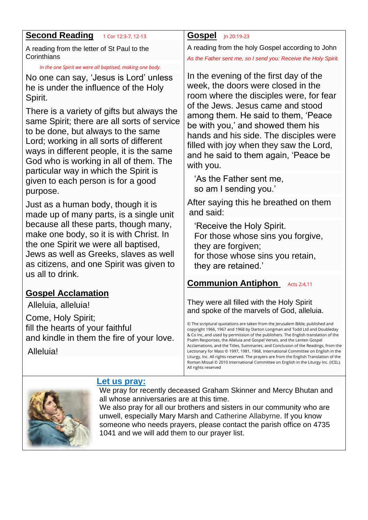| <b>Second Reading</b><br>1 Cor 12:3-7, 12-13                                                                                                                                                                                                                                                              | <b>Gospel</b><br>Jn 20:19-23                                                                                                                                                                                                                                                                                                                                                                                                                                                                                                                                                                                                                                                                                                                               |  |  |  |
|-----------------------------------------------------------------------------------------------------------------------------------------------------------------------------------------------------------------------------------------------------------------------------------------------------------|------------------------------------------------------------------------------------------------------------------------------------------------------------------------------------------------------------------------------------------------------------------------------------------------------------------------------------------------------------------------------------------------------------------------------------------------------------------------------------------------------------------------------------------------------------------------------------------------------------------------------------------------------------------------------------------------------------------------------------------------------------|--|--|--|
| A reading from the letter of St Paul to the<br>Corinthians                                                                                                                                                                                                                                                | A reading from the holy Gospel according to John<br>As the Father sent me, so I send you: Receive the Holy Spirit.                                                                                                                                                                                                                                                                                                                                                                                                                                                                                                                                                                                                                                         |  |  |  |
| In the one Spirit we were all baptised, making one body.                                                                                                                                                                                                                                                  |                                                                                                                                                                                                                                                                                                                                                                                                                                                                                                                                                                                                                                                                                                                                                            |  |  |  |
| No one can say, 'Jesus is Lord' unless<br>he is under the influence of the Holy<br>Spirit.                                                                                                                                                                                                                | In the evening of the first day of the<br>week, the doors were closed in the<br>room where the disciples were, for fear<br>of the Jews. Jesus came and stood                                                                                                                                                                                                                                                                                                                                                                                                                                                                                                                                                                                               |  |  |  |
| There is a variety of gifts but always the<br>same Spirit; there are all sorts of service<br>to be done, but always to the same<br>Lord; working in all sorts of different<br>ways in different people, it is the same<br>God who is working in all of them. The<br>particular way in which the Spirit is | among them. He said to them, 'Peace<br>be with you,' and showed them his<br>hands and his side. The disciples were<br>filled with joy when they saw the Lord,<br>and he said to them again, 'Peace be<br>with you.<br>'As the Father sent me,<br>so am I sending you.'                                                                                                                                                                                                                                                                                                                                                                                                                                                                                     |  |  |  |
| given to each person is for a good<br>purpose.                                                                                                                                                                                                                                                            |                                                                                                                                                                                                                                                                                                                                                                                                                                                                                                                                                                                                                                                                                                                                                            |  |  |  |
| Just as a human body, though it is<br>made up of many parts, is a single unit                                                                                                                                                                                                                             | After saying this he breathed on them<br>and said:                                                                                                                                                                                                                                                                                                                                                                                                                                                                                                                                                                                                                                                                                                         |  |  |  |
| because all these parts, though many,<br>make one body, so it is with Christ. In<br>the one Spirit we were all baptised,<br>Jews as well as Greeks, slaves as well<br>as citizens, and one Spirit was given to<br>us all to drink.                                                                        | 'Receive the Holy Spirit.<br>For those whose sins you forgive,<br>they are forgiven;<br>for those whose sins you retain,<br>they are retained.'                                                                                                                                                                                                                                                                                                                                                                                                                                                                                                                                                                                                            |  |  |  |
|                                                                                                                                                                                                                                                                                                           | <b>Communion Antiphon</b><br>Acts 2:4,11                                                                                                                                                                                                                                                                                                                                                                                                                                                                                                                                                                                                                                                                                                                   |  |  |  |
| <b>Gospel Acclamation</b>                                                                                                                                                                                                                                                                                 |                                                                                                                                                                                                                                                                                                                                                                                                                                                                                                                                                                                                                                                                                                                                                            |  |  |  |
| Alleluia, alleluia!                                                                                                                                                                                                                                                                                       | They were all filled with the Holy Spirit                                                                                                                                                                                                                                                                                                                                                                                                                                                                                                                                                                                                                                                                                                                  |  |  |  |
| Come, Holy Spirit;<br>fill the hearts of your faithful<br>and kindle in them the fire of your love.                                                                                                                                                                                                       | and spoke of the marvels of God, alleluia.<br>© The scriptural quotations are taken from the Jerusalem Bible, published and<br>copyright 1966, 1967 and 1968 by Darton Longman and Todd Ltd and Doubleday<br>& Co Inc, and used by permission of the publishers. The English translation of the<br>Psalm Responses, the Alleluia and Gospel Verses, and the Lenten Gospel<br>Acclamations, and the Titles, Summaries, and Conclusion of the Readings, from the<br>Lectionary for Mass © 1997, 1981, 1968, International Committee on English in the<br>Liturgy, Inc. All rights reserved. The prayers are from the English Translation of the<br>Roman Missal © 2010 International Committee on English in the Liturgy Inc. (ICEL).<br>All rights reserved |  |  |  |
| Alleluia!                                                                                                                                                                                                                                                                                                 |                                                                                                                                                                                                                                                                                                                                                                                                                                                                                                                                                                                                                                                                                                                                                            |  |  |  |



### **Let us pray:**

We pray for recently deceased Graham Skinner and Mercy Bhutan and all whose anniversaries are at this time.

We also pray for all our brothers and sisters in our community who are unwell, especially Mary Marsh and Catherine Allabyrne. If you know someone who needs prayers, please contact the parish office on 4735 1041 and we will add them to our prayer list.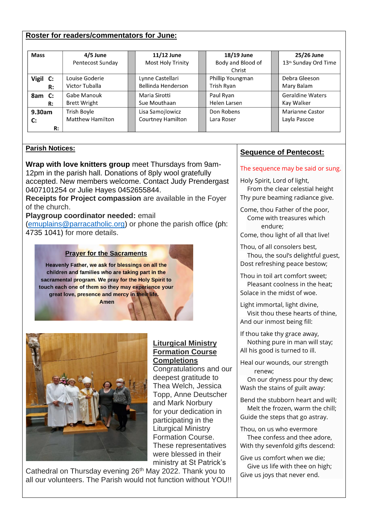#### **Roster for readers/commentators for June:**

| <b>Mass</b>  | 4/5 June                | 11/12 June               | 18/19 June        | 25/26 June                       |
|--------------|-------------------------|--------------------------|-------------------|----------------------------------|
|              | Pentecost Sunday        | <b>Most Holy Trinity</b> | Body and Blood of | 13 <sup>th</sup> Sunday Ord Time |
|              |                         |                          | Christ            |                                  |
| Vigil C:     | Louise Goderie          | Lynne Castellari         | Phillip Youngman  | Debra Gleeson                    |
| R:           | Victor Tuballa          | Bellinda Henderson       | Trish Ryan        | Mary Balam                       |
| 8am C:       | Gabe Manouk             | Maria Sirotti            | Paul Ryan         | <b>Geraldine Waters</b>          |
| R:           | <b>Brett Wright</b>     | Sue Mouthaan             | Helen Larsen      | Kay Walker                       |
| 9.30am       | Trish Boyle             | Lisa Samojlowicz         | Don Robens        | <b>Marianne Castor</b>           |
| $\mathbf{C}$ | <b>Matthew Hamilton</b> | <b>Courtney Hamilton</b> | Lara Roser        | Layla Pascoe                     |
| R:           |                         |                          |                   |                                  |

**Liturgical Ministry Formation Course Completions** 

Congratulations and our deepest gratitude to Thea Welch, Jessica Topp, Anne Deutscher and Mark Norbury for your dedication in participating in the Liturgical Ministry Formation Course. These representatives were blessed in their

#### **Parish Notices:**

**Wrap with love knitters group** meet Thursdays from 9am-12pm in the parish hall. Donations of 8ply wool gratefully accepted. New members welcome. Contact Judy Prendergast 0407101254 or Julie Hayes 0452655844.

**Receipts for Project compassion** are available in the Foyer of the church.

**Playgroup coordinator needed:** email

[\(emuplains@parracatholic.org\)](mailto:emuplains@parracatholic.org) or phone the parish office (ph: 4735 1041) for more details.

#### **Prayer for the Sacraments**

Heavenly Father, we ask for blessings on all the children and families who are taking part in the sacramental program. We pray for the Holy Spirit to touch each one of them so they may experience your great love, presence and mercy in their life.

**Amen** 



#### ministry at St Patrick's Cathedral on Thursday evening 26<sup>th</sup> May 2022. Thank you to all our volunteers. The Parish would not function without YOU!!

#### **Sequence of Pentecost:**

The sequence may be said or sung.

Holy Spirit, Lord of light,

From the clear celestial height Thy pure beaming radiance give.

Come, thou Father of the poor, Come with treasures which endure;

Come, thou light of all that live!

Thou, of all consolers best, Thou, the soul's delightful guest, Dost refreshing peace bestow;

- Thou in toil art comfort sweet; Pleasant coolness in the heat; Solace in the midst of woe.
- Light immortal, light divine, Visit thou these hearts of thine, And our inmost being fill:
- If thou take thy grace away, Nothing pure in man will stay; All his good is turned to ill.
- Heal our wounds, our strength renew;

On our dryness pour thy dew; Wash the stains of guilt away:

Bend the stubborn heart and will; Melt the frozen, warm the chill; Guide the steps that go astray.

Thou, on us who evermore

Thee confess and thee adore, With thy sevenfold gifts descend:

Give us comfort when we die; Give us life with thee on high; Give us joys that never end.